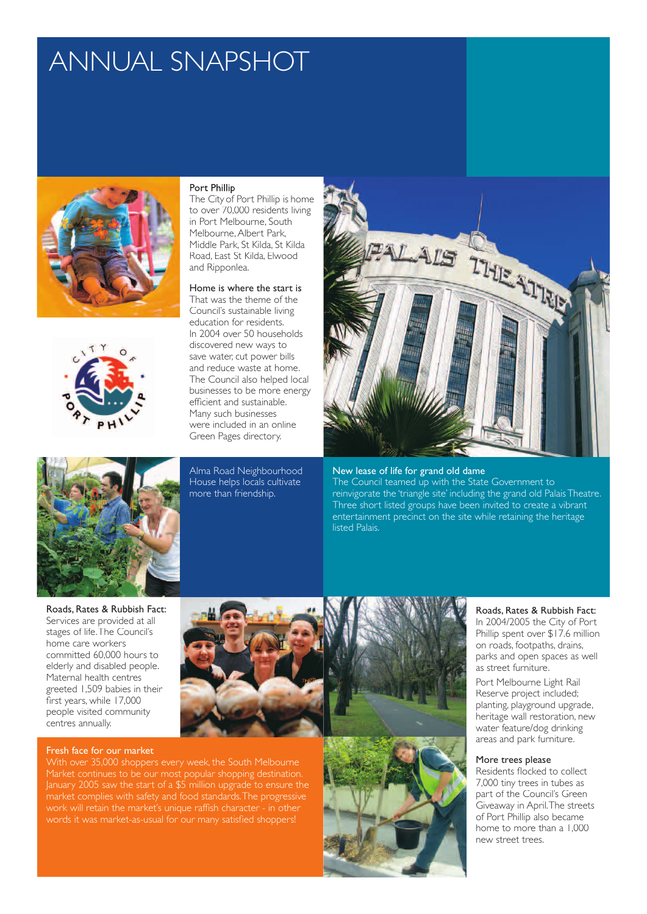# ANNUAL SNAPSHOT





#### Port Phillip

The City of Port Phillip is home to over 70,000 residents living in Port Melbourne, South Melbourne, Albert Park, Middle Park, St Kilda, St Kilda Road, East St Kilda, Elwood and Ripponlea.

## Home is where the start is

That was the theme of the Council's sustainable living education for residents. In 2004 over 50 households discovered new ways to save water, cut power bills and reduce waste at home. The Council also helped local businesses to be more energy efficient and sustainable. Many such businesses were included in an online Green Pages directory.

Alma Road Neighbourhood House helps locals cultivate more than friendship.



New lease of life for grand old dame

The Council teamed up with the State Government to reinvigorate the 'triangle site' including the grand old Palais Theatre. Three short listed groups have been invited to create a vibrant entertainment precinct on the site while retaining the heritage listed Palais.

Roads, Rates & Rubbish Fact: Services are provided at all stages of life. The Council's home care workers committed 60,000 hours to elderly and disabled people. Maternal health centres greeted 1,509 babies in their first years, while 17,000 people visited community centres annually.

#### Fresh face for our market



With over 35,000 shoppers every week, the South Melbourne Market continues to be our most popular shopping destination. January 2005 saw the start of a \$5 million upgrade to ensure the market complies with safety and food standards. The progressive work will retain the market's unique raffish character - in other words it was market-as-usual for our many satisfied shoppers!



## Roads, Rates & Rubbish Fact:

In 2004/2005 the City of Port Phillip spent over \$17.6 million on roads, footpaths, drains, parks and open spaces as well as street furniture.

Port Melbourne Light Rail Reserve project included; planting, playground upgrade, heritage wall restoration, new water feature/dog drinking areas and park furniture.

## More trees please

Residents flocked to collect 7,000 tiny trees in tubes as part of the Council's Green Giveaway in April. The streets of Port Phillip also became home to more than a 1,000 new street trees.

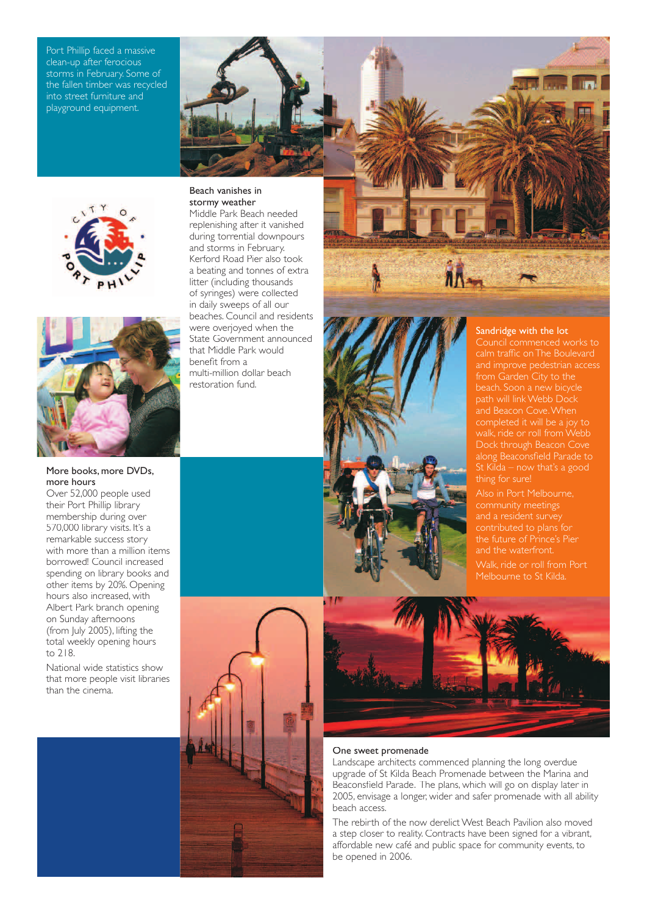Port Phillip faced a massive clean-up after ferocious storms in February. Some of the fallen timber was recycled into street furniture and playground equipment.





## More books, more DVDs, more hours

Over 52,000 people used their Port Phillip library membership during over 570,000 library visits. It's a remarkable success story with more than a million items borrowed! Council increased spending on library books and other items by 20%. Opening hours also increased, with Albert Park branch opening on Sunday afternoons (from July 2005), lifting the total weekly opening hours to 218.

National wide statistics show that more people visit libraries than the cinema.

## Beach vanishes in stormy weather

Middle Park Beach needed replenishing after it vanished during torrential downpours and storms in February. Kerford Road Pier also took a beating and tonnes of extra litter (including thousands of syringes) were collected in daily sweeps of all our beaches. Council and residents were overjoyed when the State Government announced that Middle Park would benefit from a multi-million dollar beach restoration fund.



## Sandridge with the lot

from Garden City to the beach. Soon a new bicycle path will link Webb Dock and Beacon Cove. When along Beaconsfield Parade to St Kilda – now that's a good

contributed to plans for and the waterfront. Melbourne to St Kilda.





#### One sweet promenade

Landscape architects commenced planning the long overdue upgrade of St Kilda Beach Promenade between the Marina and Beaconsfield Parade. The plans, which will go on display later in 2005, envisage a longer, wider and safer promenade with all ability beach access.

The rebirth of the now derelict West Beach Pavilion also moved a step closer to reality. Contracts have been signed for a vibrant, affordable new café and public space for community events, to be opened in 2006.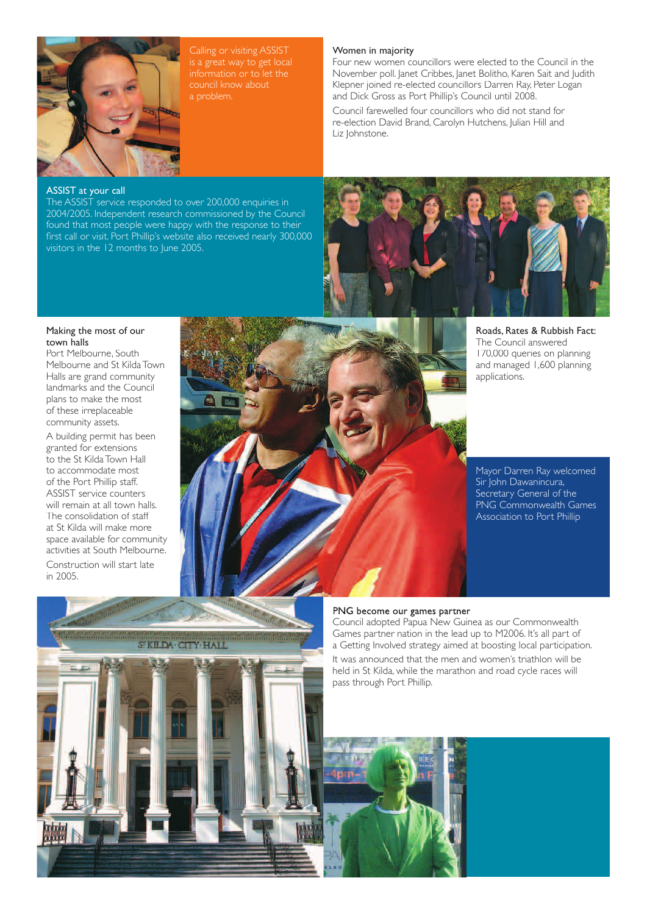

council know about a problem.

## Women in majority

Four new women councillors were elected to the Council in the November poll. Janet Cribbes, Janet Bolitho, Karen Sait and Judith Klepner joined re-elected councillors Darren Ray, Peter Logan and Dick Gross as Port Phillip's Council until 2008.

Council farewelled four councillors who did not stand for re-election David Brand, Carolyn Hutchens, Julian Hill and Liz *Iohnstone*.

## ASSIST at your call

The ASSIST service responded to over 200,000 enquiries in 2004/2005. Independent research commissioned by the Council found that most people were happy with the response to their first call or visit. Port Phillip's website also received nearly 300,000 visitors in the 12 months to June 2005.



Roads, Rates & Rubbish Fact: The Council answered 170,000 queries on planning and managed 1,600 planning applications.

Mayor Darren Ray welcomed Sir John Dawanincura, Secretary General of the PNG Commonwealth Games Association to Port Phillip

## Making the most of our town halls

Port Melbourne, South Melbourne and St Kilda Town Halls are grand community landmarks and the Council plans to make the most of these irreplaceable community assets.

A building permit has been granted for extensions to the St Kilda Town Hall to accommodate most of the Port Phillip staff. ASSIST service counters will remain at all town halls. The consolidation of staff at St Kilda will make more space available for community activities at South Melbourne.

Construction will start late in 2005.





## PNG become our games partner

Council adopted Papua New Guinea as our Commonwealth Games partner nation in the lead up to M2006. It's all part of a Getting Involved strategy aimed at boosting local participation. It was announced that the men and women's triathlon will be held in St Kilda, while the marathon and road cycle races will pass through Port Phillip.